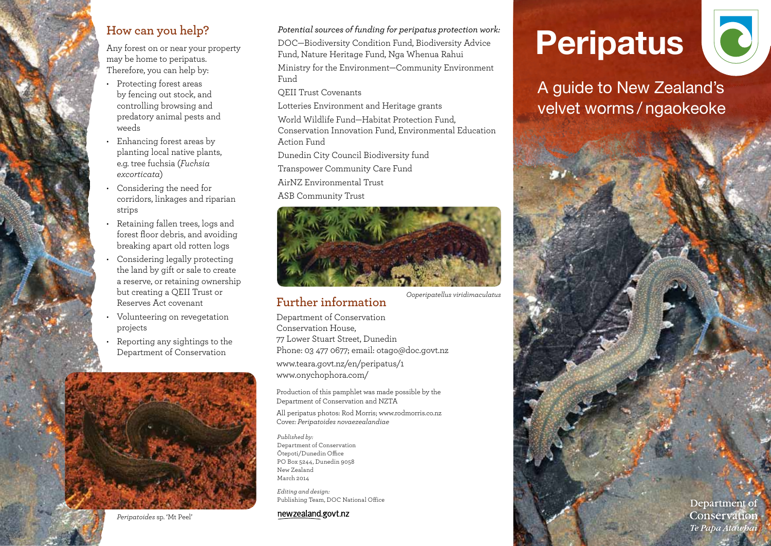#### **How can you help?**

Any forest on or near your property may be home to peripatus. Therefore, you can help by:

- • Protecting forest areas by fencing out stock, and controlling browsing and predatory animal pests and weeds
- • Enhancing forest areas by planting local native plants, e.g. tree fuchsia (*Fuchsia excorticata*)
- • Considering the need for corridors, linkages and riparian strips
- Retaining fallen trees, logs and forest floor debris, and avoiding breaking apart old rotten logs
- Considering legally protecting the land by gift or sale to create a reserve, or retaining ownership but creating a QEII Trust or Reserves Act covenant
- Volunteering on revegetation projects
- Reporting any sightings to the Department of Conservation



*Potential sources of funding for peripatus protection work:*

DOC—Biodiversity Condition Fund, Biodiversity Advice Fund, Nature Heritage Fund, Nga Whenua Rahui

Ministry for the Environment—Community Environment Fund

QEII Trust Covenants

Lotteries Environment and Heritage grants World Wildlife Fund—Habitat Protection Fund, Conservation Innovation Fund, Environmental Education Action Fund

Dunedin City Council Biodiversity fund

Transpower Community Care Fund

AirNZ Environmental Trust

ASB Community Trust



## **Further information**

*Ooperipatellus viridimaculatus*

Department of Conservation Conservation House, 77 Lower Stuart Street, Dunedin Phone: 03 477 0677; email: otago@doc.govt.nz www.teara.govt.nz/en/peripatus/1 www.onychophora.com/

Production of this pamphlet was made possible by the Department of Conservation and NZTA

All peripatus photos: Rod Morris; www.rodmorris.co.nz Cover*: Peripatoides novaezealandiae* 

*Published by:* Department of Conservation ōtepoti/Dunedin Office PO Box 5244, Dunedin 9058 New Zealand March 2014

*Editing and design:*  Publishing Team, DOC National Office

#### newzealand.govt.nz

# **Peripatus**



A guide to New Zealand's velvet worms / ngaokeoke

> Department of Conservation Te Papa Atawbai

*Peripatoides* sp. 'Mt Peel'